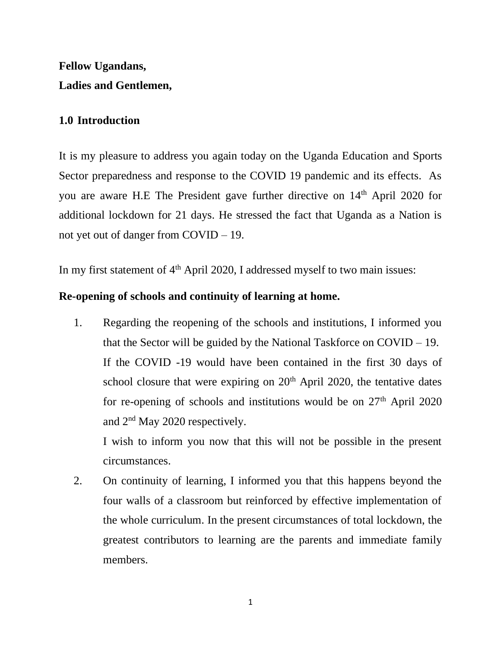# **Fellow Ugandans, Ladies and Gentlemen,**

### **1.0 Introduction**

It is my pleasure to address you again today on the Uganda Education and Sports Sector preparedness and response to the COVID 19 pandemic and its effects. As you are aware H.E The President gave further directive on 14<sup>th</sup> April 2020 for additional lockdown for 21 days. He stressed the fact that Uganda as a Nation is not yet out of danger from COVID – 19.

In my first statement of  $4<sup>th</sup>$  April 2020, I addressed myself to two main issues:

#### **Re-opening of schools and continuity of learning at home.**

1. Regarding the reopening of the schools and institutions, I informed you that the Sector will be guided by the National Taskforce on COVID – 19. If the COVID -19 would have been contained in the first 30 days of school closure that were expiring on  $20<sup>th</sup>$  April 2020, the tentative dates for re-opening of schools and institutions would be on  $27<sup>th</sup>$  April 2020 and 2nd May 2020 respectively.

I wish to inform you now that this will not be possible in the present circumstances.

2. On continuity of learning, I informed you that this happens beyond the four walls of a classroom but reinforced by effective implementation of the whole curriculum. In the present circumstances of total lockdown, the greatest contributors to learning are the parents and immediate family members.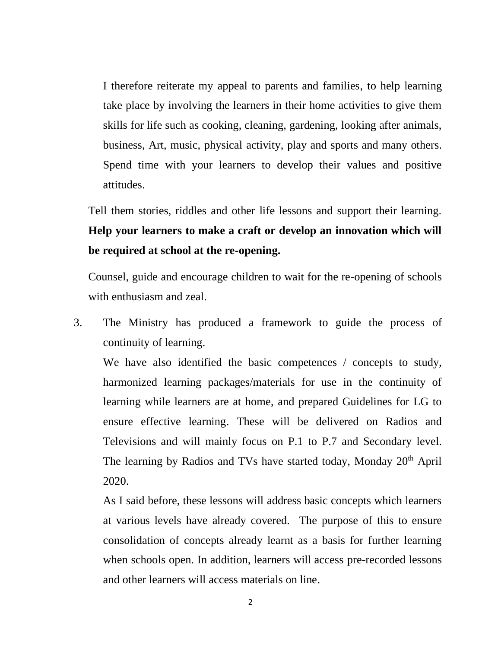I therefore reiterate my appeal to parents and families, to help learning take place by involving the learners in their home activities to give them skills for life such as cooking, cleaning, gardening, looking after animals, business, Art, music, physical activity, play and sports and many others. Spend time with your learners to develop their values and positive attitudes.

Tell them stories, riddles and other life lessons and support their learning. **Help your learners to make a craft or develop an innovation which will be required at school at the re-opening.**

Counsel, guide and encourage children to wait for the re-opening of schools with enthusiasm and zeal.

3. The Ministry has produced a framework to guide the process of continuity of learning.

We have also identified the basic competences / concepts to study, harmonized learning packages/materials for use in the continuity of learning while learners are at home, and prepared Guidelines for LG to ensure effective learning. These will be delivered on Radios and Televisions and will mainly focus on P.1 to P.7 and Secondary level. The learning by Radios and TVs have started today, Monday 20<sup>th</sup> April 2020.

As I said before, these lessons will address basic concepts which learners at various levels have already covered. The purpose of this to ensure consolidation of concepts already learnt as a basis for further learning when schools open. In addition, learners will access pre-recorded lessons and other learners will access materials on line.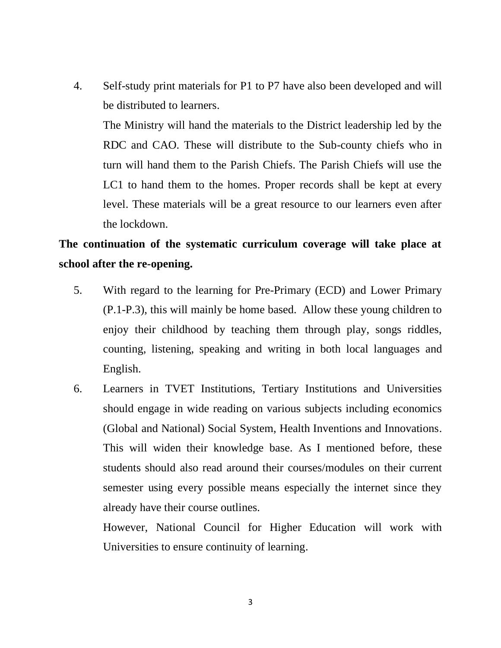4. Self-study print materials for P1 to P7 have also been developed and will be distributed to learners.

The Ministry will hand the materials to the District leadership led by the RDC and CAO. These will distribute to the Sub-county chiefs who in turn will hand them to the Parish Chiefs. The Parish Chiefs will use the LC1 to hand them to the homes. Proper records shall be kept at every level. These materials will be a great resource to our learners even after the lockdown.

## **The continuation of the systematic curriculum coverage will take place at school after the re-opening.**

- 5. With regard to the learning for Pre-Primary (ECD) and Lower Primary (P.1-P.3), this will mainly be home based. Allow these young children to enjoy their childhood by teaching them through play, songs riddles, counting, listening, speaking and writing in both local languages and English.
- 6. Learners in TVET Institutions, Tertiary Institutions and Universities should engage in wide reading on various subjects including economics (Global and National) Social System, Health Inventions and Innovations. This will widen their knowledge base. As I mentioned before, these students should also read around their courses/modules on their current semester using every possible means especially the internet since they already have their course outlines.

However, National Council for Higher Education will work with Universities to ensure continuity of learning.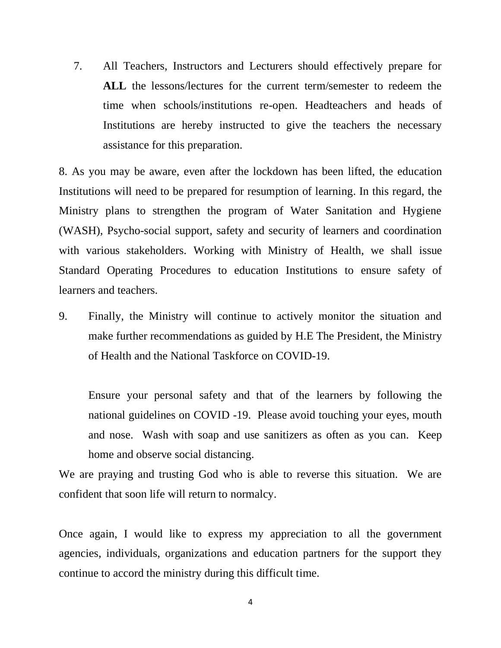7. All Teachers, Instructors and Lecturers should effectively prepare for **ALL** the lessons/lectures for the current term/semester to redeem the time when schools/institutions re-open. Headteachers and heads of Institutions are hereby instructed to give the teachers the necessary assistance for this preparation.

8. As you may be aware, even after the lockdown has been lifted, the education Institutions will need to be prepared for resumption of learning. In this regard, the Ministry plans to strengthen the program of Water Sanitation and Hygiene (WASH), Psycho-social support, safety and security of learners and coordination with various stakeholders. Working with Ministry of Health, we shall issue Standard Operating Procedures to education Institutions to ensure safety of learners and teachers.

9. Finally, the Ministry will continue to actively monitor the situation and make further recommendations as guided by H.E The President, the Ministry of Health and the National Taskforce on COVID-19.

Ensure your personal safety and that of the learners by following the national guidelines on COVID -19. Please avoid touching your eyes, mouth and nose. Wash with soap and use sanitizers as often as you can. Keep home and observe social distancing.

We are praying and trusting God who is able to reverse this situation. We are confident that soon life will return to normalcy.

Once again, I would like to express my appreciation to all the government agencies, individuals, organizations and education partners for the support they continue to accord the ministry during this difficult time.

4